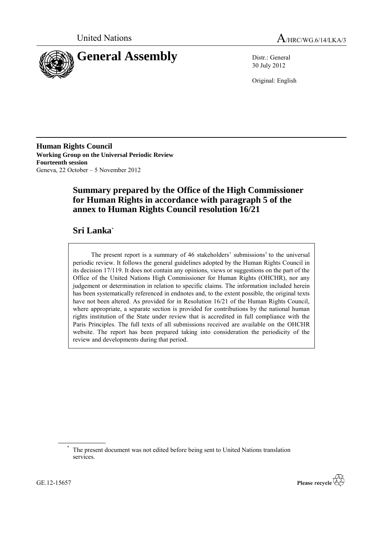



30 July 2012

Original: English

**Human Rights Council Working Group on the Universal Periodic Review Fourteenth session** Geneva, 22 October – 5 November 2012

# **Summary prepared by the Office of the High Commissioner for Human Rights in accordance with paragraph 5 of the annex to Human Rights Council resolution 16/21**

# **Sri Lanka**\*

The present report is a summary of 46 stakeholders' submissions<sup>1</sup> to the universal periodic review. It follows the general guidelines adopted by the Human Rights Council in its decision 17/119. It does not contain any opinions, views or suggestions on the part of the Office of the United Nations High Commissioner for Human Rights (OHCHR), nor any judgement or determination in relation to specific claims. The information included herein has been systematically referenced in endnotes and, to the extent possible, the original texts have not been altered. As provided for in Resolution 16/21 of the Human Rights Council, where appropriate, a separate section is provided for contributions by the national human rights institution of the State under review that is accredited in full compliance with the Paris Principles. The full texts of all submissions received are available on the OHCHR website. The report has been prepared taking into consideration the periodicity of the review and developments during that period.



The present document was not edited before being sent to United Nations translation services.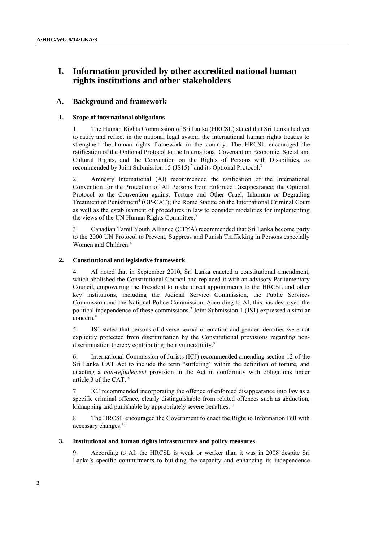# **I. Information provided by other accredited national human rights institutions and other stakeholders**

# **A. Background and framework**

## **1. Scope of international obligations**

1. The Human Rights Commission of Sri Lanka (HRCSL) stated that Sri Lanka had yet to ratify and reflect in the national legal system the international human rights treaties to strengthen the human rights framework in the country. The HRCSL encouraged the ratification of the Optional Protocol to the International Covenant on Economic, Social and Cultural Rights, and the Convention on the Rights of Persons with Disabilities, as recommended by Joint Submission  $15 (JS15)^2$  and its Optional Protocol.<sup>3</sup>

2. Amnesty International (AI) recommended the ratification of the International Convention for the Protection of All Persons from Enforced Disappearance; the Optional Protocol to the Convention against Torture and Other Cruel, Inhuman or Degrading Treatment or Punishment<sup>4</sup> (OP-CAT); the Rome Statute on the International Criminal Court as well as the establishment of procedures in law to consider modalities for implementing the views of the UN Human Rights Committee.<sup>5</sup>

3. Canadian Tamil Youth Alliance (CTYA) recommended that Sri Lanka become party to the 2000 UN Protocol to Prevent, Suppress and Punish Trafficking in Persons especially Women and Children.<sup>6</sup>

## **2. Constitutional and legislative framework**

4. AI noted that in September 2010, Sri Lanka enacted a constitutional amendment, which abolished the Constitutional Council and replaced it with an advisory Parliamentary Council, empowering the President to make direct appointments to the HRCSL and other key institutions, including the Judicial Service Commission, the Public Services Commission and the National Police Commission. According to AI, this has destroyed the political independence of these commissions. 7 Joint Submission 1 (JS1) expressed a similar concern.<sup>8</sup>

5. JS1 stated that persons of diverse sexual orientation and gender identities were not explicitly protected from discrimination by the Constitutional provisions regarding nondiscrimination thereby contributing their vulnerability.<sup>9</sup>

6. International Commission of Jurists (ICJ) recommended amending section 12 of the Sri Lanka CAT Act to include the term "suffering" within the definition of torture, and enacting a *non-refoulement* provision in the Act in conformity with obligations under article 3 of the CAT.<sup>10</sup>

7. ICJ recommended incorporating the offence of enforced disappearance into law as a specific criminal offence, clearly distinguishable from related offences such as abduction, kidnapping and punishable by appropriately severe penalties.<sup>11</sup>

8. The HRCSL encouraged the Government to enact the Right to Information Bill with necessary changes.<sup>12</sup>

## **3. Institutional and human rights infrastructure and policy measures**

9. According to AI, the HRCSL is weak or weaker than it was in 2008 despite Sri Lanka's specific commitments to building the capacity and enhancing its independence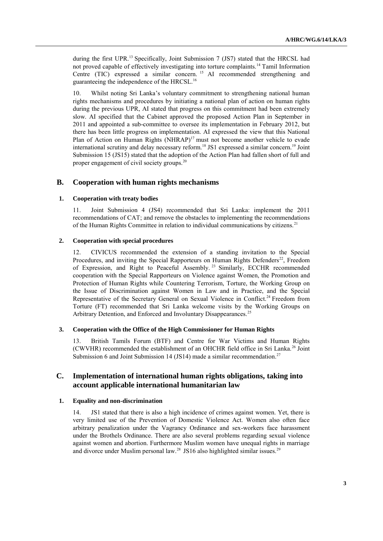during the first UPR.<sup>13</sup> Specifically, Joint Submission 7 (JS7) stated that the HRCSL had not proved capable of effectively investigating into torture complaints.<sup>14</sup> Tamil Information Centre (TIC) expressed a similar concern. <sup>15</sup> AI recommended strengthening and guaranteeing the independence of the HRCSL.<sup>16</sup>

10. Whilst noting Sri Lanka's voluntary commitment to strengthening national human rights mechanisms and procedures by initiating a national plan of action on human rights during the previous UPR, AI stated that progress on this commitment had been extremely slow. AI specified that the Cabinet approved the proposed Action Plan in September in 2011 and appointed a sub-committee to oversee its implementation in February 2012, but there has been little progress on implementation. AI expressed the view that this National Plan of Action on Human Rights (NHRAP)<sup>17</sup> must not become another vehicle to evade international scrutiny and delay necessary reform.<sup>18</sup> JS1 expressed a similar concern.<sup>19</sup> Joint Submission 15 (JS15) stated that the adoption of the Action Plan had fallen short of full and proper engagement of civil society groups.<sup>20</sup>

## **B. Cooperation with human rights mechanisms**

### **1. Cooperation with treaty bodies**

11. Joint Submission 4 (JS4) recommended that Sri Lanka: implement the 2011 recommendations of CAT; and remove the obstacles to implementing the recommendations of the Human Rights Committee in relation to individual communications by citizens.<sup>21</sup>

### **2. Cooperation with special procedures**

12. CIVICUS recommended the extension of a standing invitation to the Special Procedures, and inviting the Special Rapporteurs on Human Rights Defenders<sup>22</sup>, Freedom of Expression, and Right to Peaceful Assembly. <sup>23</sup> Similarly, ECCHR recommended cooperation with the Special Rapporteurs on Violence against Women, the Promotion and Protection of Human Rights while Countering Terrorism, Torture, the Working Group on the Issue of Discrimination against Women in Law and in Practice, and the Special Representative of the Secretary General on Sexual Violence in Conflict.<sup>24</sup> Freedom from Torture (FT) recommended that Sri Lanka welcome visits by the Working Groups on Arbitrary Detention, and Enforced and Involuntary Disappearances.<sup>25</sup>

## **3. Cooperation with the Office of the High Commissioner for Human Rights**

13. British Tamils Forum (BTF) and Centre for War Victims and Human Rights (CWVHR) recommended the establishment of an OHCHR field office in Sri Lanka.<sup>26</sup> Joint Submission 6 and Joint Submission 14 (JS14) made a similar recommendation.<sup>27</sup>

## **C. Implementation of international human rights obligations, taking into account applicable international humanitarian law**

#### **1. Equality and non-discrimination**

14. JS1 stated that there is also a high incidence of crimes against women. Yet, there is very limited use of the Prevention of Domestic Violence Act. Women also often face arbitrary penalization under the Vagrancy Ordinance and sex-workers face harassment under the Brothels Ordinance. There are also several problems regarding sexual violence against women and abortion. Furthermore Muslim women have unequal rights in marriage and divorce under Muslim personal law.<sup>28</sup> JS16 also highlighted similar issues.<sup>29</sup>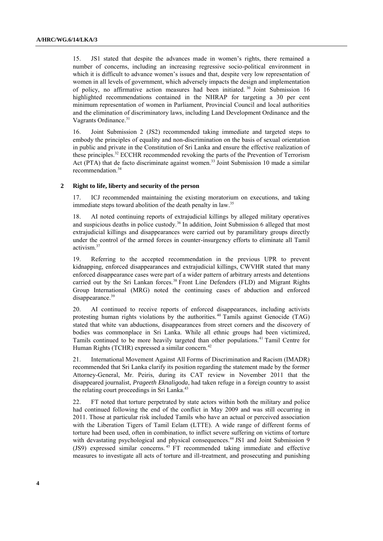15. JS1 stated that despite the advances made in women's rights, there remained a number of concerns, including an increasing regressive socio-political environment in which it is difficult to advance women's issues and that, despite very low representation of women in all levels of government, which adversely impacts the design and implementation of policy, no affirmative action measures had been initiated. <sup>30</sup> Joint Submission 16 highlighted recommendations contained in the NHRAP for targeting a 30 per cent minimum representation of women in Parliament, Provincial Council and local authorities and the elimination of discriminatory laws, including Land Development Ordinance and the Vagrants Ordinance.<sup>31</sup>

16. Joint Submission 2 (JS2) recommended taking immediate and targeted steps to embody the principles of equality and non-discrimination on the basis of sexual orientation in public and private in the Constitution of Sri Lanka and ensure the effective realization of these principles.<sup>32</sup> ECCHR recommended revoking the parts of the Prevention of Terrorism Act (PTA) that de facto discriminate against women.<sup>33</sup> Joint Submission 10 made a similar recommendation.<sup>34</sup>

### **2 Right to life, liberty and security of the person**

17. ICJ recommended maintaining the existing moratorium on executions, and taking immediate steps toward abolition of the death penalty in law.<sup>35</sup>

18. AI noted continuing reports of extrajudicial killings by alleged military operatives and suspicious deaths in police custody.<sup>36</sup> In addition, Joint Submission 6 alleged that most extrajudicial killings and disappearances were carried out by paramilitary groups directly under the control of the armed forces in counter-insurgency efforts to eliminate all Tamil activism.<sup>37</sup>

19. Referring to the accepted recommendation in the previous UPR to prevent kidnapping, enforced disappearances and extrajudicial killings, CWVHR stated that many enforced disappearance cases were part of a wider pattern of arbitrary arrests and detentions carried out by the Sri Lankan forces.<sup>38</sup> Front Line Defenders (FLD) and Migrant Rights Group International (MRG) noted the continuing cases of abduction and enforced disappearance.<sup>39</sup>

20. AI continued to receive reports of enforced disappearances, including activists protesting human rights violations by the authorities.<sup>40</sup> Tamils against Genocide (TAG) stated that white van abductions, disappearances from street corners and the discovery of bodies was commonplace in Sri Lanka. While all ethnic groups had been victimized, Tamils continued to be more heavily targeted than other populations.<sup>41</sup> Tamil Centre for Human Rights (TCHR) expressed a similar concern.<sup>42</sup>

21. International Movement Against All Forms of Discrimination and Racism (IMADR) recommended that Sri Lanka clarify its position regarding the statement made by the former Attorney-General, Mr. Peiris, during its CAT review in November 2011 that the disappeared journalist, *Prageeth Eknaligoda*, had taken refuge in a foreign country to assist the relating court proceedings in Sri Lanka.<sup>43</sup>

22. FT noted that torture perpetrated by state actors within both the military and police had continued following the end of the conflict in May 2009 and was still occurring in 2011. Those at particular risk included Tamils who have an actual or perceived association with the Liberation Tigers of Tamil Eelam (LTTE). A wide range of different forms of torture had been used, often in combination, to inflict severe suffering on victims of torture with devastating psychological and physical consequences.<sup>44</sup> JS1 and Joint Submission 9 (JS9) expressed similar concerns. <sup>45</sup> FT recommended taking immediate and effective measures to investigate all acts of torture and ill-treatment, and prosecuting and punishing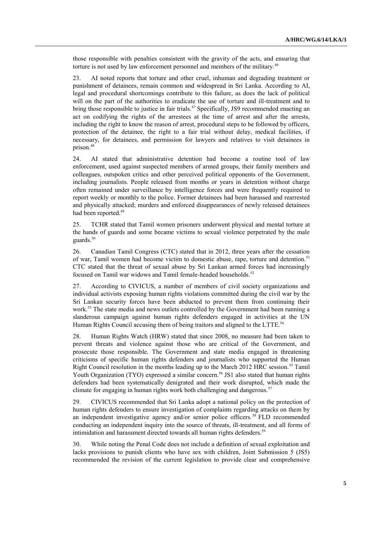those responsible with penalties consistent with the gravity of the acts, and ensuring that torture is not used by law enforcement personnel and members of the military.<sup>46</sup>

23. AI noted reports that torture and other cruel, inhuman and degrading treatment or punishment of detainees, remain common and widespread in Sri Lanka. According to AI, legal and procedural shortcomings contribute to this failure, as does the lack of political will on the part of the authorities to eradicate the use of torture and ill-treatment and to bring those responsible to justice in fair trials.<sup>47</sup> Specifically, JS9 recommended enacting an act on codifying the rights of the arrestees at the time of arrest and after the arrests, including the right to know the reason of arrest, procedural steps to be followed by officers, protection of the detainee, the right to a fair trial without delay, medical facilities, if necessary, for detainees, and permission for lawyers and relatives to visit detainees in prison.<sup>48</sup>

24. AI stated that administrative detention had become a routine tool of law enforcement, used against suspected members of armed groups, their family members and colleagues, outspoken critics and other perceived political opponents of the Government, including journalists. People released from months or years in detention without charge often remained under surveillance by intelligence forces and were frequently required to report weekly or monthly to the police. Former detainees had been harassed and rearrested and physically attacked; murders and enforced disappearances of newly released detainees had been reported.<sup>49</sup>

25. TCHR stated that Tamil women prisoners underwent physical and mental torture at the hands of guards and some became victims to sexual violence perpetrated by the male guards.<sup>50</sup>

26. Canadian Tamil Congress (CTC) stated that in 2012, three years after the cessation of war, Tamil women had become victim to domestic abuse, rape, torture and detention.<sup>51</sup> CTC stated that the threat of sexual abuse by Sri Lankan armed forces had increasingly focused on Tamil war widows and Tamil female-headed households.<sup>52</sup>

27. According to CIVICUS, a number of members of civil society organizations and individual activists exposing human rights violations committed during the civil war by the Sri Lankan security forces have been abducted to prevent them from continuing their work.<sup>53</sup> The state media and news outlets controlled by the Government had been running a slanderous campaign against human rights defenders engaged in activities at the UN Human Rights Council accusing them of being traitors and aligned to the LTTE.<sup>54</sup>

28. Human Rights Watch (HRW) stated that since 2008, no measure had been taken to prevent threats and violence against those who are critical of the Government, and prosecute those responsible. The Government and state media engaged in threatening criticisms of specific human rights defenders and journalists who supported the Human Right Council resolution in the months leading up to the March 2012 HRC session.<sup>55</sup> Tamil Youth Organization (TYO) expressed a similar concern.<sup>56</sup> JS1 also stated that human rights defenders had been systematically denigrated and their work disrupted, which made the climate for engaging in human rights work both challenging and dangerous.<sup>57</sup>

29. CIVICUS recommended that Sri Lanka adopt a national policy on the protection of human rights defenders to ensure investigation of complaints regarding attacks on them by an independent investigative agency and/or senior police officers. <sup>58</sup> FLD recommended conducting an independent inquiry into the source of threats, ill-treatment, and all forms of intimidation and harassment directed towards all human rights defenders.<sup>59</sup>

30. While noting the Penal Code does not include a definition of sexual exploitation and lacks provisions to punish clients who have sex with children, Joint Submission 5 (JS5) recommended the revision of the current legislation to provide clear and comprehensive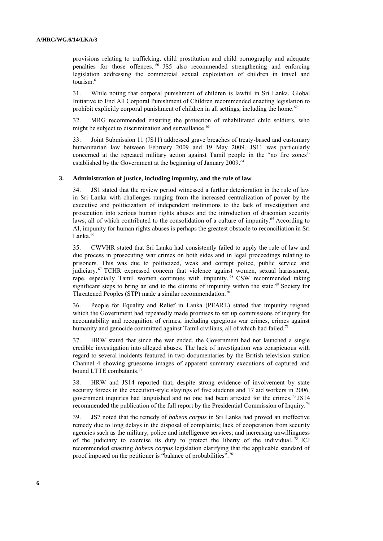provisions relating to trafficking, child prostitution and child pornography and adequate penalties for those offences.  $\overline{60}$  JS5 also recommended strengthening and enforcing legislation addressing the commercial sexual exploitation of children in travel and tourism.<sup>61</sup>

31. While noting that corporal punishment of children is lawful in Sri Lanka, Global Initiative to End All Corporal Punishment of Children recommended enacting legislation to prohibit explicitly corporal punishment of children in all settings, including the home.<sup>62</sup>

32. MRG recommended ensuring the protection of rehabilitated child soldiers, who might be subject to discrimination and surveillance.<sup>63</sup>

33. Joint Submission 11 (JS11) addressed grave breaches of treaty-based and customary humanitarian law between February 2009 and 19 May 2009. JS11 was particularly concerned at the repeated military action against Tamil people in the "no fire zones" established by the Government at the beginning of January 2009.<sup>64</sup>

#### **3. Administration of justice, including impunity, and the rule of law**

34. JS1 stated that the review period witnessed a further deterioration in the rule of law in Sri Lanka with challenges ranging from the increased centralization of power by the executive and politicization of independent institutions to the lack of investigation and prosecution into serious human rights abuses and the introduction of draconian security laws, all of which contributed to the consolidation of a culture of impunity.<sup>65</sup> According to AI, impunity for human rights abuses is perhaps the greatest obstacle to reconciliation in Sri Lanka.<sup>66</sup>

35. CWVHR stated that Sri Lanka had consistently failed to apply the rule of law and due process in prosecuting war crimes on both sides and in legal proceedings relating to prisoners. This was due to politicized, weak and corrupt police, public service and judiciary. <sup>67</sup> TCHR expressed concern that violence against women, sexual harassment, rape, especially Tamil women continues with impunity.<sup>68</sup> CSW recommended taking significant steps to bring an end to the climate of impunity within the state.<sup>69</sup> Society for Threatened Peoples (STP) made a similar recommendation.<sup>70</sup>

36. People for Equality and Relief in Lanka (PEARL) stated that impunity reigned which the Government had repeatedly made promises to set up commissions of inquiry for accountability and recognition of crimes, including egregious war crimes, crimes against humanity and genocide committed against Tamil civilians, all of which had failed.<sup>71</sup>

37. HRW stated that since the war ended, the Government had not launched a single credible investigation into alleged abuses. The lack of investigation was conspicuous with regard to several incidents featured in two documentaries by the British television station Channel 4 showing gruesome images of apparent summary executions of captured and bound LTTE combatants.<sup>72</sup>

38. HRW and JS14 reported that, despite strong evidence of involvement by state security forces in the execution-style slayings of five students and 17 aid workers in 2006, government inquiries had languished and no one had been arrested for the crimes.<sup>73</sup> JS14 recommended the publication of the full report by the Presidential Commission of Inquiry.<sup>74</sup>

39. JS7 noted that the remedy of *habeas corpus* in Sri Lanka had proved an ineffective remedy due to long delays in the disposal of complaints; lack of cooperation from security agencies such as the military, police and intelligence services; and increasing unwillingness of the judiciary to exercise its duty to protect the liberty of the individual. <sup>75</sup> ICJ recommended enacting *habeas corpus* legislation clarifying that the applicable standard of proof imposed on the petitioner is "balance of probabilities".76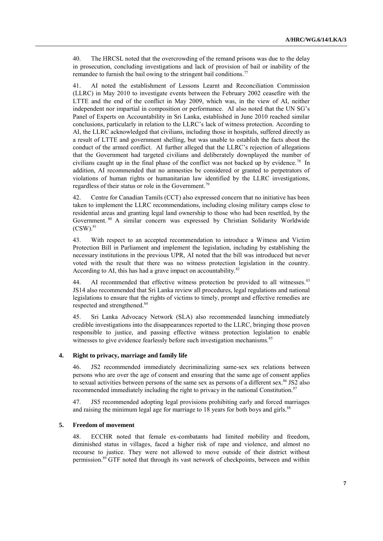40. The HRCSL noted that the overcrowding of the remand prisons was due to the delay in prosecution, concluding investigations and lack of provision of bail or inability of the remandee to furnish the bail owing to the stringent bail conditions.<sup>77</sup>

41. AI noted the establishment of Lessons Learnt and Reconciliation Commission (LLRC) in May 2010 to investigate events between the February 2002 ceasefire with the LTTE and the end of the conflict in May 2009, which was, in the view of AI, neither independent nor impartial in composition or performance. AI also noted that the UN SG's Panel of Experts on Accountability in Sri Lanka, established in June 2010 reached similar conclusions, particularly in relation to the LLRC's lack of witness protection. According to AI, the LLRC acknowledged that civilians, including those in hospitals, suffered directly as a result of LTTE and government shelling, but was unable to establish the facts about the conduct of the armed conflict. AI further alleged that the LLRC's rejection of allegations that the Government had targeted civilians and deliberately downplayed the number of civilians caught up in the final phase of the conflict was not backed up by evidence.<sup>78</sup> In addition, AI recommended that no amnesties be considered or granted to perpetrators of violations of human rights or humanitarian law identified by the LLRC investigations, regardless of their status or role in the Government.<sup>79</sup>

42. Centre for Canadian Tamils (CCT) also expressed concern that no initiative has been taken to implement the LLRC recommendations, including closing military camps close to residential areas and granting legal land ownership to those who had been resettled, by the Government. <sup>80</sup> A similar concern was expressed by Christian Solidarity Worldwide  $(CSW)<sub>81</sub>$ 

43. With respect to an accepted recommendation to introduce a Witness and Victim Protection Bill in Parliament and implement the legislation, including by establishing the necessary institutions in the previous UPR, AI noted that the bill was introduced but never voted with the result that there was no witness protection legislation in the country. According to AI, this has had a grave impact on accountability.<sup>82</sup>

44. AI recommended that effective witness protection be provided to all witnesses. 83 JS14 also recommended that Sri Lanka review all procedures, legal regulations and national legislations to ensure that the rights of victims to timely, prompt and effective remedies are respected and strengthened.<sup>84</sup>

45. Sri Lanka Advocacy Network (SLA) also recommended launching immediately credible investigations into the disappearances reported to the LLRC, bringing those proven responsible to justice, and passing effective witness protection legislation to enable witnesses to give evidence fearlessly before such investigation mechanisms.<sup>85</sup>

## **4. Right to privacy, marriage and family life**

46. JS2 recommended immediately decriminalizing same-sex sex relations between persons who are over the age of consent and ensuring that the same age of consent applies to sexual activities between persons of the same sex as persons of a different sex.<sup>86</sup> JS2 also recommended immediately including the right to privacy in the national Constitution.<sup>87</sup>

47. JS5 recommended adopting legal provisions prohibiting early and forced marriages and raising the minimum legal age for marriage to 18 years for both boys and girls.<sup>88</sup>

#### **5. Freedom of movement**

48. ECCHR noted that female ex-combatants had limited mobility and freedom, diminished status in villages, faced a higher risk of rape and violence, and almost no recourse to justice. They were not allowed to move outside of their district without permission.<sup>89</sup> GTF noted that through its vast network of checkpoints, between and within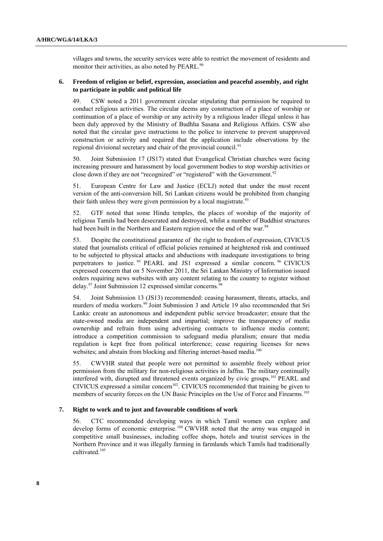villages and towns, the security services were able to restrict the movement of residents and monitor their activities, as also noted by PEARL.<sup>90</sup>

## **6. Freedom of religion or belief, expression, association and peaceful assembly, and right to participate in public and political life**

49. CSW noted a 2011 government circular stipulating that permission be required to conduct religious activities. The circular deems any construction of a place of worship or continuation of a place of worship or any activity by a religious leader illegal unless it has been duly approved by the Ministry of Budhha Sasana and Religious Affairs. CSW also noted that the circular gave instructions to the police to intervene to prevent unapproved construction or activity and required that the application include observations by the regional divisional secretary and chair of the provincial council.<sup>91</sup>

50. Joint Submission 17 (JS17) stated that Evangelical Christian churches were facing increasing pressure and harassment by local government bodies to stop worship activities or close down if they are not "recognized" or "registered" with the Government.<sup>92</sup>

51. European Centre for Law and Justice (ECLJ) noted that under the most recent version of the anti-conversion bill, Sri Lankan citizens would be prohibited from changing their faith unless they were given permission by a local magistrate.<sup>93</sup>

52. GTF noted that some Hindu temples, the places of worship of the majority of religious Tamils had been desecrated and destroyed, whilst a number of Buddhist structures had been built in the Northern and Eastern region since the end of the war.<sup>94</sup>

53. Despite the constitutional guarantee of the right to freedom of expression, CIVICUS stated that journalists critical of official policies remained at heightened risk and continued to be subjected to physical attacks and abductions with inadequate investigations to bring perpetrators to justice.<sup>95</sup> PEARL and JS1 expressed a similar concern.<sup>96</sup> CIVICUS expressed concern that on 5 November 2011, the Sri Lankan Ministry of Information issued orders requiring news websites with any content relating to the country to register without delay.<sup>97</sup> Joint Submission 12 expressed similar concerns.<sup>98</sup>

54. Joint Submission 13 (JS13) recommended: ceasing harassment, threats, attacks, and murders of media workers.<sup>99</sup> Joint Submission 3 and Article 19 also recommended that Sri Lanka: create an autonomous and independent public service broadcaster; ensure that the state-owned media are independent and impartial; improve the transparency of media ownership and refrain from using advertising contracts to influence media content; introduce a competition commission to safeguard media pluralism; ensure that media regulation is kept free from political interference; cease requiring licenses for news websites; and abstain from blocking and filtering internet-based media.<sup>100</sup>

55. CWVHR stated that people were not permitted to assemble freely without prior permission from the military for non-religious activities in Jaffna. The military continually interfered with, disrupted and threatened events organized by civic groups.<sup>101</sup> PEARL and CIVICUS expressed a similar concern<sup>102</sup>. CIVICUS recommended that training be given to members of security forces on the UN Basic Principles on the Use of Force and Firearms.<sup>103</sup>

#### **7. Right to work and to just and favourable conditions of work**

56. CTC recommended developing ways in which Tamil women can explore and develop forms of economic enterprise.<sup>104</sup> CWVHR noted that the army was engaged in competitive small businesses, including coffee shops, hotels and tourist services in the Northern Province and it was illegally farming in farmlands which Tamils had traditionally cultivated. 105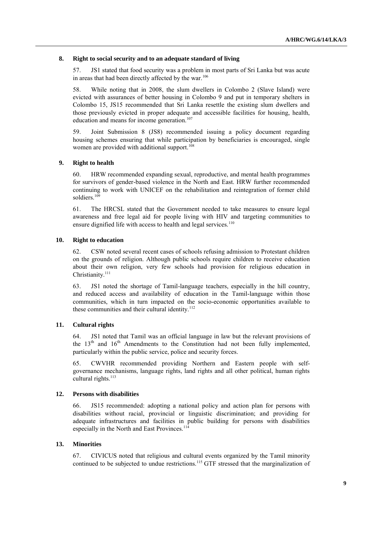### **8. Right to social security and to an adequate standard of living**

57. JS1 stated that food security was a problem in most parts of Sri Lanka but was acute in areas that had been directly affected by the war.<sup>106</sup>

58. While noting that in 2008, the slum dwellers in Colombo 2 (Slave Island) were evicted with assurances of better housing in Colombo 9 and put in temporary shelters in Colombo 15, JS15 recommended that Sri Lanka resettle the existing slum dwellers and those previously evicted in proper adequate and accessible facilities for housing, health, education and means for income generation.<sup>107</sup>

59. Joint Submission 8 (JS8) recommended issuing a policy document regarding housing schemes ensuring that while participation by beneficiaries is encouraged, single women are provided with additional support.<sup>108</sup>

### **9. Right to health**

60. HRW recommended expanding sexual, reproductive, and mental health programmes for survivors of gender-based violence in the North and East. HRW further recommended continuing to work with UNICEF on the rehabilitation and reintegration of former child soldiers.<sup>109</sup>

61. The HRCSL stated that the Government needed to take measures to ensure legal awareness and free legal aid for people living with HIV and targeting communities to ensure dignified life with access to health and legal services. $110$ 

### **10. Right to education**

62. CSW noted several recent cases of schools refusing admission to Protestant children on the grounds of religion. Although public schools require children to receive education about their own religion, very few schools had provision for religious education in Christianity.<sup>111</sup>

63. JS1 noted the shortage of Tamil-language teachers, especially in the hill country, and reduced access and availability of education in the Tamil-language within those communities, which in turn impacted on the socio-economic opportunities available to these communities and their cultural identity.<sup>112</sup>

## **11. Cultural rights**

64. JS1 noted that Tamil was an official language in law but the relevant provisions of the  $13<sup>th</sup>$  and  $16<sup>th</sup>$  Amendments to the Constitution had not been fully implemented, particularly within the public service, police and security forces.

65. CWVHR recommended providing Northern and Eastern people with selfgovernance mechanisms, language rights, land rights and all other political, human rights cultural rights.<sup>113</sup>

#### **12. Persons with disabilities**

66. JS15 recommended: adopting a national policy and action plan for persons with disabilities without racial, provincial or linguistic discrimination; and providing for adequate infrastructures and facilities in public building for persons with disabilities especially in the North and East Provinces.<sup>114</sup>

#### **13. Minorities**

67. CIVICUS noted that religious and cultural events organized by the Tamil minority continued to be subjected to undue restrictions.<sup>115</sup> GTF stressed that the marginalization of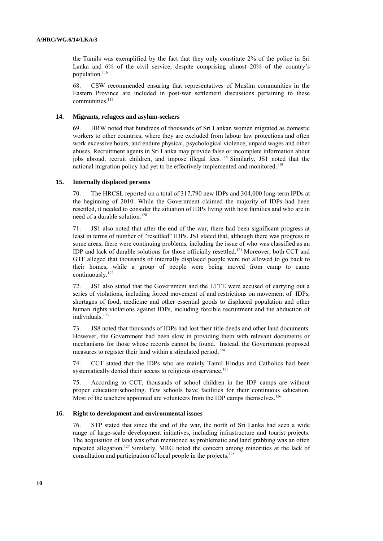the Tamils was exemplified by the fact that they only constitute 2% of the police in Sri Lanka and 6% of the civil service, despite comprising almost 20% of the country's population.<sup>116</sup>

68. CSW recommended ensuring that representatives of Muslim communities in the Eastern Province are included in post-war settlement discussions pertaining to these communities.<sup>117</sup>

#### **14. Migrants, refugees and asylum-seekers**

69. HRW noted that hundreds of thousands of Sri Lankan women migrated as domestic workers to other countries, where they are excluded from labour law protections and often work excessive hours, and endure physical, psychological violence, unpaid wages and other abuses. Recruitment agents in Sri Lanka may provide false or incomplete information about jobs abroad, recruit children, and impose illegal fees.<sup>118</sup> Similarly, JS1 noted that the national migration policy had yet to be effectively implemented and monitored.<sup>119</sup>

#### **15. Internally displaced persons**

70. The HRCSL reported on a total of 317,790 new IDPs and 304,000 long-term IPDs at the beginning of 2010. While the Government claimed the majority of IDPs had been resettled, it needed to consider the situation of IDPs living with host families and who are in need of a durable solution.<sup>120</sup>

71. JS1 also noted that after the end of the war, there had been significant progress at least in terms of number of "resettled" IDPs. JS1 stated that, although there was progress in some areas, there were continuing problems, including the issue of who was classified as an IDP and lack of durable solutions for those officially resettled.<sup>121</sup> Moreover, both CCT and GTF alleged that thousands of internally displaced people were not allowed to go back to their homes, while a group of people were being moved from camp to camp continuously.<sup>122</sup>

72. JS1 also stated that the Government and the LTTE were accused of carrying out a series of violations, including forced movement of and restrictions on movement of IDPs, shortages of food, medicine and other essential goods to displaced population and other human rights violations against IDPs, including forcible recruitment and the abduction of individuals.<sup>123</sup>

73. JS8 noted that thousands of IDPs had lost their title deeds and other land documents. However, the Government had been slow in providing them with relevant documents or mechanisms for those whose records cannot be found. Instead, the Government proposed measures to register their land within a stipulated period.<sup>124</sup>

74. CCT stated that the IDPs who are mainly Tamil Hindus and Catholics had been systematically denied their access to religious observance.<sup>125</sup>

75. According to CCT, thousands of school children in the IDP camps are without proper education/schooling. Few schools have facilities for their continuous education. Most of the teachers appointed are volunteers from the IDP camps themselves.<sup>126</sup>

### **16. Right to development and environmental issues**

76. STP stated that since the end of the war, the north of Sri Lanka had seen a wide range of large-scale development initiatives, including infrastructure and tourist projects. The acquisition of land was often mentioned as problematic and land grabbing was an often repeated allegation.<sup>127</sup> Similarly, MRG noted the concern among minorities at the lack of consultation and participation of local people in the projects.128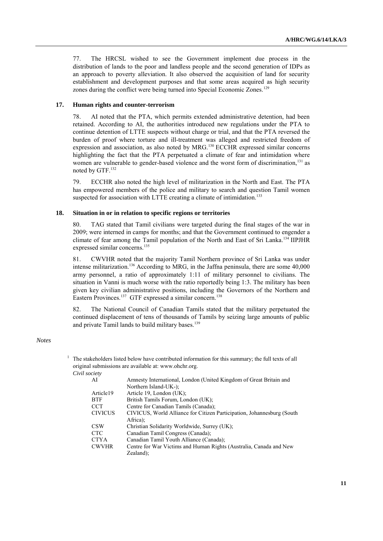77. The HRCSL wished to see the Government implement due process in the distribution of lands to the poor and landless people and the second generation of IDPs as an approach to poverty alleviation. It also observed the acquisition of land for security establishment and development purposes and that some areas acquired as high security zones during the conflict were being turned into Special Economic Zones.<sup>129</sup>

## **17. Human rights and counter-terrorism**

78. AI noted that the PTA, which permits extended administrative detention, had been retained. According to AI, the authorities introduced new regulations under the PTA to continue detention of LTTE suspects without charge or trial, and that the PTA reversed the burden of proof where torture and ill-treatment was alleged and restricted freedom of expression and association, as also noted by MRG.<sup>130</sup> ECCHR expressed similar concerns highlighting the fact that the PTA perpetuated a climate of fear and intimidation where women are vulnerable to gender-based violence and the worst form of discrimination, $^{131}$  as noted by GTF.<sup>132</sup>

79. ECCHR also noted the high level of militarization in the North and East. The PTA has empowered members of the police and military to search and question Tamil women suspected for association with LTTE creating a climate of intimidation.<sup>133</sup>

#### **18. Situation in or in relation to specific regions or territories**

80. TAG stated that Tamil civilians were targeted during the final stages of the war in 2009; were interned in camps for months; and that the Government continued to engender a climate of fear among the Tamil population of the North and East of Sri Lanka.<sup>134</sup> IIPJHR expressed similar concerns. 135

81. CWVHR noted that the majority Tamil Northern province of Sri Lanka was under intense militarization.<sup>136</sup> According to MRG, in the Jaffna peninsula, there are some 40,000 army personnel, a ratio of approximately 1:11 of military personnel to civilians. The situation in Vanni is much worse with the ratio reportedly being 1:3. The military has been given key civilian administrative positions, including the Governors of the Northern and Eastern Provinces.<sup>137</sup> GTF expressed a similar concern.<sup>138</sup>

82. The National Council of Canadian Tamils stated that the military perpetuated the continued displacement of tens of thousands of Tamils by seizing large amounts of public and private Tamil lands to build military bases.<sup>139</sup>

#### *Notes*

|                | The stakeholders listed below have contributed information for this summary; the full texts of all<br>original submissions are available at: www.ohchr.org. |
|----------------|-------------------------------------------------------------------------------------------------------------------------------------------------------------|
|                |                                                                                                                                                             |
| AI             | Amnesty International, London (United Kingdom of Great Britain and                                                                                          |
|                | Northern Island-UK-);                                                                                                                                       |
| Article19      | Article 19, London $(UK)$ ;                                                                                                                                 |
| <b>BTF</b>     | British Tamils Forum, London (UK);                                                                                                                          |
| <b>CCT</b>     | Centre for Canadian Tamils (Canada);                                                                                                                        |
| <b>CIVICUS</b> | CIVICUS, World Alliance for Citizen Participation, Johannesburg (South)                                                                                     |
|                | Africa);                                                                                                                                                    |
| CSW            | Christian Solidarity Worldwide, Surrey (UK);                                                                                                                |
| <b>CTC</b>     | Canadian Tamil Congress (Canada);                                                                                                                           |
| <b>CTYA</b>    | Canadian Tamil Youth Alliance (Canada);                                                                                                                     |
| <b>CWVHR</b>   | Centre for War Victims and Human Rights (Australia, Canada and New                                                                                          |
|                | Civil society                                                                                                                                               |

Zealand);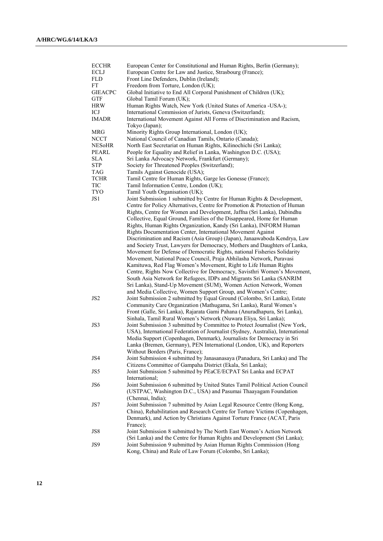| <b>ECCHR</b>    | European Center for Constitutional and Human Rights, Berlin (Germany);          |
|-----------------|---------------------------------------------------------------------------------|
| ECLJ            | European Centre for Law and Justice, Strasbourg (France);                       |
| <b>FLD</b>      | Front Line Defenders, Dublin (Ireland);                                         |
| FT              | Freedom from Torture, London (UK);                                              |
| <b>GIEACPC</b>  | Global Initiative to End All Corporal Punishment of Children (UK);              |
| <b>GTF</b>      | Global Tamil Forum (UK);                                                        |
| HRW             | Human Rights Watch, New York (United States of America -USA-);                  |
| ICJ             | International Commission of Jurists, Geneva (Switzerland);                      |
| <b>IMADR</b>    | International Movement Against All Forms of Discrimination and Racism,          |
|                 | Tokyo (Japan);                                                                  |
| MRG             | Minority Rights Group International, London (UK);                               |
| NCCT            | National Council of Canadian Tamils, Ontario (Canada);                          |
| NES0HR          | North East Secretariat on Human Rights, Kilinochichi (Sri Lanka);               |
| PEARL           | People for Equality and Relief in Lanka, Washington D.C. (USA);                 |
| SLA             | Sri Lanka Advocacy Network, Frankfurt (Germany);                                |
| <b>STP</b>      | Society for Threatened Peoples (Switzerland);                                   |
| TAG             | Tamils Against Genocide (USA);                                                  |
| <b>TCHR</b>     | Tamil Centre for Human Rights, Garge les Gonesse (France);                      |
| TIC             | Tamil Information Centre, London (UK);                                          |
| TYO             | Tamil Youth Organisation (UK);                                                  |
| JS1             | Joint Submission 1 submitted by Centre for Human Rights & Development,          |
|                 | Centre for Policy Alternatives, Centre for Promotion & Protection of Human      |
|                 | Rights, Centre for Women and Development, Jaffna (Sri Lanka), Dabindhu          |
|                 | Collective, Equal Ground, Families of the Disappeared, Home for Human           |
|                 | Rights, Human Rights Organization, Kandy (Sri Lanka), INFORM Human              |
|                 | Rights Documentation Center, International Movement Against                     |
|                 | Discrimination and Racism (Asia Group) (Japan), Janaawaboda Kendrya, Law        |
|                 | and Society Trust, Lawyers for Democracy, Mothers and Daughters of Lanka,       |
|                 | Movement for Defense of Democratic Rights, national Fisheries Solidarity        |
|                 | Movement, National Peace Council, Praja Abhilasha Network, Puravasi             |
|                 | Kamituwa, Red Flag Women's Movement, Right to Life Human Rights                 |
|                 | Centre, Rights Now Collective for Democracy, Savisthri Women's Movement,        |
|                 | South Asia Network for Refugees, IDPs and Migrants Sri Lanka (SANRIM            |
|                 | Sri Lanka), Stand-Up Movement (SUM), Women Action Network, Women                |
|                 | and Media Collective, Women Support Group, and Women's Centre;                  |
| JS <sub>2</sub> | Joint Submission 2 submitted by Equal Ground (Colombo, Sri Lanka), Estate       |
|                 | Community Care Organization (Mathugama, Sri Lanka), Rural Women's               |
|                 | Front (Galle, Sri Lanka), Rajarata Gami Pahana (Anuradhapura, Sri Lanka),       |
|                 | Sinhala, Tamil Rural Women's Network (Nuwara Eliya, Sri Lanka);                 |
| JS3             | Joint Submission 3 submitted by Committee to Protect Journalist (New York,      |
|                 | USA), International Federation of Journalist (Sydney, Australia), International |
|                 | Media Support (Copenhagen, Denmark), Journalists for Democracy in Sri           |
|                 | Lanka (Bremen, Germany), PEN International (London, UK), and Reporters          |
|                 | Without Borders (Paris, France);                                                |
| JS4             | Joint Submission 4 submitted by Janasanasaya (Panadura, Sri Lanka) and The      |
|                 | Citizens Committee of Gampaha District (Ekala, Sri Lanka);                      |
| JS5             | Joint Submission 5 submitted by PEaCE/ECPAT Sri Lanka and ECPAT                 |
|                 | International;                                                                  |
| JS6             | Joint Submission 6 submitted by United States Tamil Political Action Council    |
|                 | (USTPAC, Washington D.C., USA) and Pasumai Thaayagam Foundation                 |
|                 | (Chennai, India);                                                               |
| JS7             | Joint Submission 7 submitted by Asian Legal Resource Centre (Hong Kong,         |
|                 | China), Rehabilitation and Research Centre for Torture Victims (Copenhagen,     |
|                 | Denmark), and Action by Christians Against Torture France (ACAT, Paris          |
|                 | France);                                                                        |
| JS8             | Joint Submission 8 submitted by The North East Women's Action Network           |
|                 | (Sri Lanka) and the Centre for Human Rights and Development (Sri Lanka);        |
| JS9             | Joint Submission 9 submitted by Asian Human Rights Commission (Hong             |
|                 | Kong, China) and Rule of Law Forum (Colombo, Sri Lanka);                        |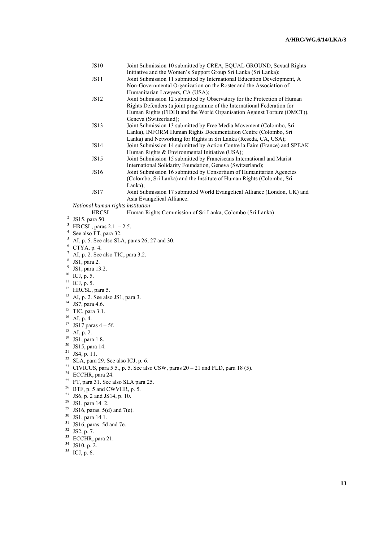|    | <b>JS10</b>                                                                   | Joint Submission 10 submitted by CREA, EQUAL GROUND, Sexual Rights<br>Initiative and the Women's Support Group Sri Lanka (Sri Lanka);                                                                                                                             |  |
|----|-------------------------------------------------------------------------------|-------------------------------------------------------------------------------------------------------------------------------------------------------------------------------------------------------------------------------------------------------------------|--|
|    | <b>JS11</b>                                                                   | Joint Submission 11 submitted by International Education Development, A<br>Non-Governmental Organization on the Roster and the Association of                                                                                                                     |  |
|    | <b>JS12</b>                                                                   | Humanitarian Lawyers, CA (USA);<br>Joint Submission 12 submitted by Observatory for the Protection of Human<br>Rights Defenders (a joint programme of the International Federation for<br>Human Rights (FIDH) and the World Organisation Against Torture (OMCT)), |  |
|    | <b>JS13</b>                                                                   | Geneva (Switzerland);<br>Joint Submission 13 submitted by Free Media Movement (Colombo, Sri<br>Lanka), INFORM Human Rights Documentation Centre (Colombo, Sri<br>Lanka) and Networking for Rights in Sri Lanka (Reseda, CA, USA);                                 |  |
|    | <b>JS14</b>                                                                   | Joint Submission 14 submitted by Action Contre la Faim (France) and SPEAK                                                                                                                                                                                         |  |
|    | <b>JS15</b>                                                                   | Human Rights & Environmental Initiative (USA);<br>Joint Submission 15 submitted by Franciscans International and Marist<br>International Solidarity Foundation, Geneva (Switzerland);                                                                             |  |
|    | <b>JS16</b>                                                                   | Joint Submission 16 submitted by Consortium of Humanitarian Agencies<br>(Colombo, Sri Lanka) and the Institute of Human Rights (Colombo, Sri<br>Lanka);                                                                                                           |  |
|    | JS17                                                                          | Joint Submission 17 submitted World Evangelical Alliance (London, UK) and<br>Asia Evangelical Alliance.                                                                                                                                                           |  |
|    | National human rights institution                                             |                                                                                                                                                                                                                                                                   |  |
|    | <b>HRCSL</b>                                                                  | Human Rights Commission of Sri Lanka, Colombo (Sri Lanka)                                                                                                                                                                                                         |  |
| 2  | JS15, para 50.                                                                |                                                                                                                                                                                                                                                                   |  |
| 3  | HRCSL, paras $2.1. - 2.5$ .                                                   |                                                                                                                                                                                                                                                                   |  |
| 4  | See also FT, para 32.                                                         |                                                                                                                                                                                                                                                                   |  |
| 5  | AI, p. 5. See also SLA, paras 26, 27 and 30.                                  |                                                                                                                                                                                                                                                                   |  |
| 6  |                                                                               |                                                                                                                                                                                                                                                                   |  |
| 7  | CTYA, p. 4.                                                                   |                                                                                                                                                                                                                                                                   |  |
|    | AI, p. 2. See also TIC, para 3.2.                                             |                                                                                                                                                                                                                                                                   |  |
|    | $8$ JS1, para 2.                                                              |                                                                                                                                                                                                                                                                   |  |
| 9  | JS1, para 13.2.                                                               |                                                                                                                                                                                                                                                                   |  |
| 10 | ICJ, p. 5.                                                                    |                                                                                                                                                                                                                                                                   |  |
| 11 | ICJ, p. 5.                                                                    |                                                                                                                                                                                                                                                                   |  |
| 12 | HRCSL, para 5.                                                                |                                                                                                                                                                                                                                                                   |  |
| 13 | AI, p. 2. See also JS1, para 3.                                               |                                                                                                                                                                                                                                                                   |  |
| 14 | JS7, para 4.6.                                                                |                                                                                                                                                                                                                                                                   |  |
| 15 |                                                                               |                                                                                                                                                                                                                                                                   |  |
| 16 | TIC, para 3.1.                                                                |                                                                                                                                                                                                                                                                   |  |
| 17 | AI, p. 4.                                                                     |                                                                                                                                                                                                                                                                   |  |
| 18 | JS17 paras $4 - 5f$ .                                                         |                                                                                                                                                                                                                                                                   |  |
| 19 | AI, p. 2.                                                                     |                                                                                                                                                                                                                                                                   |  |
|    | JS1, para 1.8.                                                                |                                                                                                                                                                                                                                                                   |  |
|    | $20$ JS15, para 14.                                                           |                                                                                                                                                                                                                                                                   |  |
| 21 | JS4, p. 11.                                                                   |                                                                                                                                                                                                                                                                   |  |
|    | $22$ SLA, para 29. See also ICJ, p. 6.                                        |                                                                                                                                                                                                                                                                   |  |
| 23 | CIVICUS, para 5.5., p. 5. See also CSW, paras $20 - 21$ and FLD, para 18 (5). |                                                                                                                                                                                                                                                                   |  |
| 24 | ECCHR, para 24.                                                               |                                                                                                                                                                                                                                                                   |  |
| 25 | FT, para 31. See also SLA para 25.                                            |                                                                                                                                                                                                                                                                   |  |
|    | $^{26}$ BTF, p. 5 and CWVHR, p. 5.                                            |                                                                                                                                                                                                                                                                   |  |
| 27 | JS6, p. 2 and JS14, p. 10.                                                    |                                                                                                                                                                                                                                                                   |  |
| 28 | JS1, para 14. 2.                                                              |                                                                                                                                                                                                                                                                   |  |
| 29 | JS16, paras. $5(d)$ and $7(e)$ .                                              |                                                                                                                                                                                                                                                                   |  |
| 30 | JS1, para 14.1.                                                               |                                                                                                                                                                                                                                                                   |  |
| 31 | JS16, paras. 5d and 7e.                                                       |                                                                                                                                                                                                                                                                   |  |
| 32 |                                                                               |                                                                                                                                                                                                                                                                   |  |
| 33 | JS2, p. 7.                                                                    |                                                                                                                                                                                                                                                                   |  |
| 34 | ECCHR, para 21.                                                               |                                                                                                                                                                                                                                                                   |  |
|    | JS10, p. 2.                                                                   |                                                                                                                                                                                                                                                                   |  |
| 35 | ICJ, p. 6.                                                                    |                                                                                                                                                                                                                                                                   |  |
|    |                                                                               |                                                                                                                                                                                                                                                                   |  |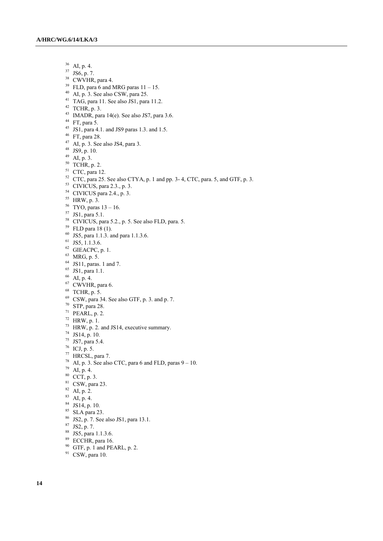- AI, p. 4.
- JS6, p. 7.
- <sup>38</sup> CWVHR, para 4.
- <sup>39</sup> FLD, para 6 and MRG paras  $11 15$ .
- $^{40}$  AI, p. 3. See also CSW, para 25.
- $^{41}$  TAG, para 11. See also JS1, para 11.2.
- TCHR, p. 3.
- $^{43}$  IMADR, para 14(e). See also JS7, para 3.6.
- FT, para 5.
- JS1, para 4.1. and JS9 paras 1.3. and 1.5.
- FT, para 28.
- AI, p. 3. See also JS4, para 3.
- JS9, p. 10.
- AI, p. 3.
- TCHR, p. 2.
- CTC, para 12.
- CTC, para 25. See also CTYA, p. 1 and pp. 3- 4, CTC, para. 5, and GTF, p. 3.
- CIVICUS, para 2.3., p. 3.
- CIVICUS para 2.4., p. 3.
- HRW, p. 3.
- TYO, paras  $13 16$ .
- JS1, para 5.1.
- CIVICUS, para 5.2., p. 5. See also FLD, para. 5.
- FLD para 18 (1).
- JS5, para 1.1.3. and para 1.1.3.6.
- JS5, 1.1.3.6.
- GIEACPC, p. 1.
- MRG, p. 5.
- JS11, paras. 1 and 7.
- JS1, para 1.1.
- AI, p. 4.
- <sup>67</sup> CWVHR, para 6.
- 
- TCHR, p. 5.
- CSW, para 34. See also GTF, p. 3. and p. 7.
- STP, para 28.
- PEARL, p. 2.
- HRW, p. 1.
- HRW, p. 2. and JS14, executive summary.
- JS14, p. 10.
- JS7, para 5.4.
- ICJ, p. 5.
- HRCSL, para 7.
- <sup>78</sup> AI, p. 3. See also CTC, para 6 and FLD, paras  $9 10$ .
- AI, p. 4.
- CCT, p. 3.
- CSW, para 23.
- AI, p. 2.
- AI, p. 4.
- JS14, p. 10.
- 
- SLA para 23.
- JS2, p. 7. See also JS1, para 13.1.
- JS2, p. 7.
- JS5, para 1.1.3.6.
- <sup>89</sup> ECCHR, para 16.
- GTF, p. 1 and PEARL, p. 2.
- <sup>91</sup> CSW, para 10.